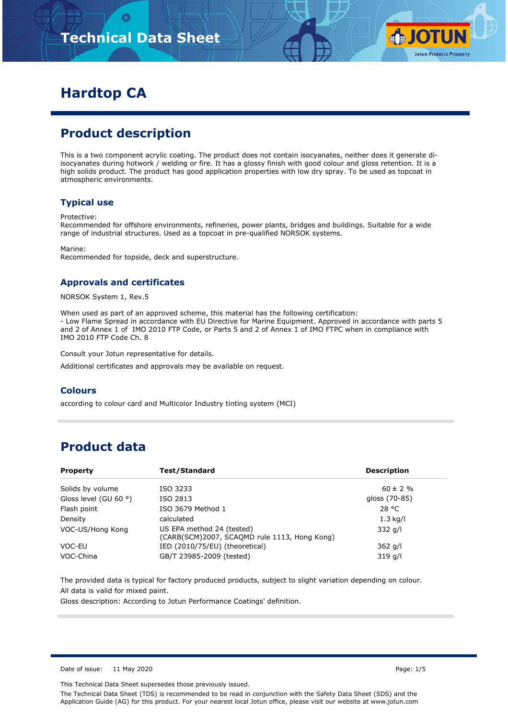

# **Hardtop CA**

# **Product description**

This is a two component acrylic coating. The product does not contain isocyanates, neither does it generate diisocyanates during hotwork / welding or fire. It has a glossy finish with good colour and gloss retention. It is a high solids product. The product has good application properties with low dry spray. To be used as topcoat in atmospheric environments.

### **Typical use**

Protective:

Recommended for offshore environments, refineries, power plants, bridges and buildings. Suitable for a wide range of industrial structures. Used as a topcoat in pre-qualified NORSOK systems.

Marine: Recommended for topside, deck and superstructure.

### **Approvals and certificates**

NORSOK System 1, Rev.5

When used as part of an approved scheme, this material has the following certification: - Low Flame Spread in accordance with EU Directive for Marine Equipment. Approved in accordance with parts 5 and 2 of Annex 1 of IMO 2010 FTP Code, or Parts 5 and 2 of Annex 1 of IMO FTPC when in compliance with IMO 2010 FTP Code Ch. 8

Consult your Jotun representative for details.

Additional certificates and approvals may be available on request.

#### **Colours**

according to colour card and Multicolor Industry tinting system (MCI)

# **Product data**

| <b>Property</b>                                                                               | Test/Standard                  | <b>Description</b> |
|-----------------------------------------------------------------------------------------------|--------------------------------|--------------------|
| Solids by volume                                                                              | ISO 3233                       | $60 \pm 2 \%$      |
| Gloss level (GU 60 $\degree$ )                                                                | ISO 2813                       | gloss (70-85)      |
| Flash point                                                                                   | ISO 3679 Method 1              | 28 °C              |
| Density                                                                                       | calculated                     | $1.3$ kg/l         |
| US EPA method 24 (tested)<br>VOC-US/Hong Kong<br>(CARB(SCM)2007, SCAQMD rule 1113, Hong Kong) |                                | $332$ g/l          |
| VOC-EU                                                                                        | IED (2010/75/EU) (theoretical) | $362$ g/l          |
| VOC-China                                                                                     | GB/T 23985-2009 (tested)       | 319q/1             |

The provided data is typical for factory produced products, subject to slight variation depending on colour. All data is valid for mixed paint.

Gloss description: According to Jotun Performance Coatings' definition.

Date of issue: 11 May 2020 **Page: 1/5** 

This Technical Data Sheet supersedes those previously issued.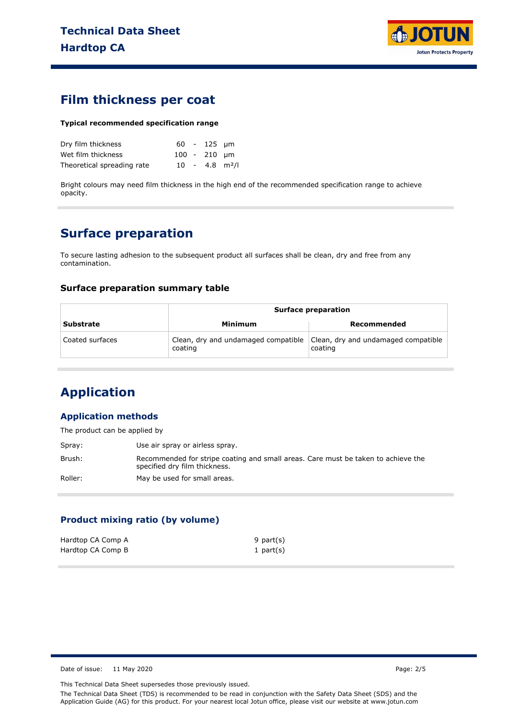

### **Film thickness per coat**

#### **Typical recommended specification range**

| Dry film thickness         |  | $60 - 125$ µm  |                              |
|----------------------------|--|----------------|------------------------------|
| Wet film thickness         |  | $100 - 210$ um |                              |
| Theoretical spreading rate |  |                | $10 - 4.8$ m <sup>2</sup> /l |

Bright colours may need film thickness in the high end of the recommended specification range to achieve opacity.

## **Surface preparation**

To secure lasting adhesion to the subsequent product all surfaces shall be clean, dry and free from any contamination.

### **Surface preparation summary table**

|                  | <b>Surface preparation</b>                     |                                                |  |
|------------------|------------------------------------------------|------------------------------------------------|--|
| <b>Substrate</b> | Minimum                                        | Recommended                                    |  |
| Coated surfaces  | Clean, dry and undamaged compatible<br>coating | Clean, dry and undamaged compatible<br>coating |  |

# **Application**

### **Application methods**

The product can be applied by

| Spray:  | Use air spray or airless spray.                                                                                    |
|---------|--------------------------------------------------------------------------------------------------------------------|
| Brush:  | Recommended for stripe coating and small areas. Care must be taken to achieve the<br>specified dry film thickness. |
| Roller: | May be used for small areas.                                                                                       |

### **Product mixing ratio (by volume)**

| Hardtop CA Comp A | 9 part $(s)$ |
|-------------------|--------------|
| Hardtop CA Comp B | 1 part $(s)$ |

Date of issue: 11 May 2020 **Page: 2/5** 

This Technical Data Sheet supersedes those previously issued.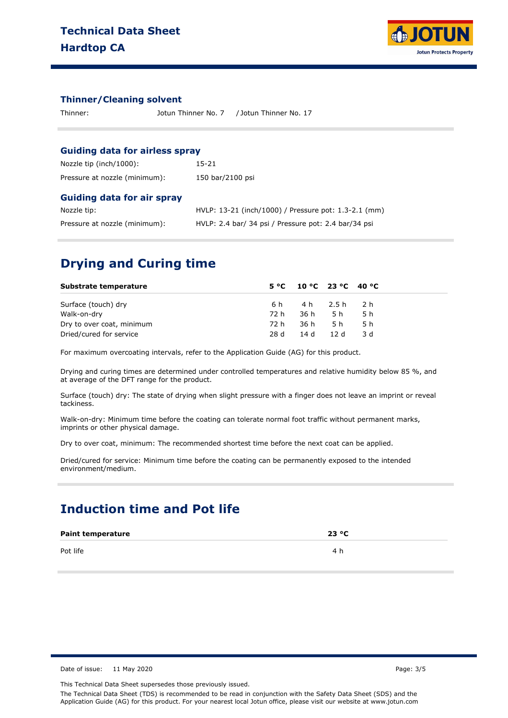

#### **Thinner/Cleaning solvent**

| / Jotun Thinner No. 17<br>Thinner:<br>Jotun Thinner No. 7 |  |
|-----------------------------------------------------------|--|
|-----------------------------------------------------------|--|

#### **Guiding data for airless spray**

| Nozzle tip (inch/1000):       | 15-21            |
|-------------------------------|------------------|
| Pressure at nozzle (minimum): | 150 bar/2100 psi |

#### **Guiding data for air spray**

| Nozzle tip:                   | HVLP: 13-21 (inch/1000) / Pressure pot: 1.3-2.1 (mm) |
|-------------------------------|------------------------------------------------------|
| Pressure at nozzle (minimum): | HVLP: 2.4 bar/ 34 psi / Pressure pot: 2.4 bar/34 psi |

## **Drying and Curing time**

| Substrate temperature     |      | $5^{\circ}$ C 10 °C 23 °C 40 °C |        |      |
|---------------------------|------|---------------------------------|--------|------|
| Surface (touch) dry       |      | 6h 4h 2.5h 2h                   |        |      |
| Walk-on-dry               | 72 h |                                 | 36h 5h | .5 h |
| Dry to over coat, minimum | 72 h | 36 h                            | 5 h    | .5 h |
| Dried/cured for service   | 28 d | 14 d 12 d                       |        | -3 d |

For maximum overcoating intervals, refer to the Application Guide (AG) for this product.

Drying and curing times are determined under controlled temperatures and relative humidity below 85 %, and at average of the DFT range for the product.

Surface (touch) dry: The state of drying when slight pressure with a finger does not leave an imprint or reveal tackiness.

Walk-on-dry: Minimum time before the coating can tolerate normal foot traffic without permanent marks, imprints or other physical damage.

Dry to over coat, minimum: The recommended shortest time before the next coat can be applied.

Dried/cured for service: Minimum time before the coating can be permanently exposed to the intended environment/medium.

## **Induction time and Pot life**

| <b>Paint temperature</b> | 23 °C |  |
|--------------------------|-------|--|
| Pot life                 | 4 h   |  |

Date of issue: 11 May 2020 **Page: 3/5** 

This Technical Data Sheet supersedes those previously issued.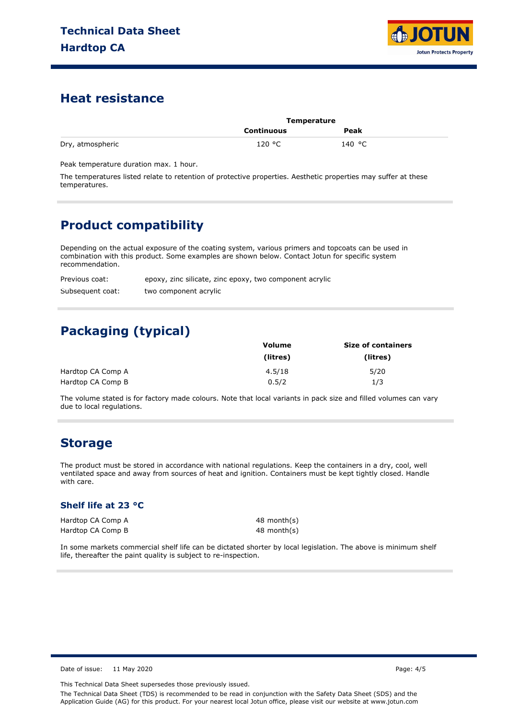

## **Heat resistance**

|                  | Temperature |        |  |
|------------------|-------------|--------|--|
|                  | Continuous  | Peak   |  |
| Dry, atmospheric | 120 °C      | 140 °C |  |

Peak temperature duration max. 1 hour.

The temperatures listed relate to retention of protective properties. Aesthetic properties may suffer at these temperatures.

## **Product compatibility**

Depending on the actual exposure of the coating system, various primers and topcoats can be used in combination with this product. Some examples are shown below. Contact Jotun for specific system recommendation.

| Previous coat:   | epoxy, zinc silicate, zinc epoxy, two component acrylic |
|------------------|---------------------------------------------------------|
| Subsequent coat: | two component acrylic                                   |

# **Packaging (typical)**

|                   | <b>Volume</b> | <b>Size of containers</b> |
|-------------------|---------------|---------------------------|
|                   | (litres)      | (litres)                  |
| Hardtop CA Comp A | 4.5/18        | 5/20                      |
| Hardtop CA Comp B | 0.5/2         | 1/3                       |

The volume stated is for factory made colours. Note that local variants in pack size and filled volumes can vary due to local regulations.

## **Storage**

The product must be stored in accordance with national regulations. Keep the containers in a dry, cool, well ventilated space and away from sources of heat and ignition. Containers must be kept tightly closed. Handle with care.

### **Shelf life at 23 °C**

Hardtop CA Comp A Hardtop CA Comp B 48 month(s) 48 month(s)

In some markets commercial shelf life can be dictated shorter by local legislation. The above is minimum shelf life, thereafter the paint quality is subject to re-inspection.

Date of issue: 11 May 2020 **Page: 4/5** 

This Technical Data Sheet supersedes those previously issued.